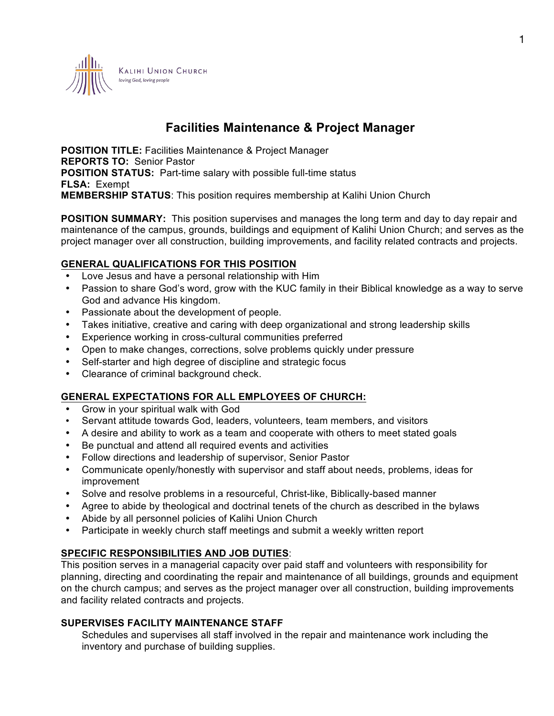

# **Facilities Maintenance & Project Manager**

**POSITION TITLE:** Facilities Maintenance & Project Manager **REPORTS TO:** Senior Pastor **POSITION STATUS:** Part-time salary with possible full-time status **FLSA:** Exempt **MEMBERSHIP STATUS**: This position requires membership at Kalihi Union Church

**POSITION SUMMARY:** This position supervises and manages the long term and day to day repair and maintenance of the campus, grounds, buildings and equipment of Kalihi Union Church; and serves as the project manager over all construction, building improvements, and facility related contracts and projects.

## **GENERAL QUALIFICATIONS FOR THIS POSITION**

- Love Jesus and have a personal relationship with Him
- Passion to share God's word, grow with the KUC family in their Biblical knowledge as a way to serve God and advance His kingdom.
- Passionate about the development of people.
- Takes initiative, creative and caring with deep organizational and strong leadership skills
- Experience working in cross-cultural communities preferred
- Open to make changes, corrections, solve problems quickly under pressure
- Self-starter and high degree of discipline and strategic focus
- Clearance of criminal background check.

## **GENERAL EXPECTATIONS FOR ALL EMPLOYEES OF CHURCH:**

- Grow in your spiritual walk with God
- Servant attitude towards God, leaders, volunteers, team members, and visitors
- A desire and ability to work as a team and cooperate with others to meet stated goals
- Be punctual and attend all required events and activities
- Follow directions and leadership of supervisor, Senior Pastor
- Communicate openly/honestly with supervisor and staff about needs, problems, ideas for improvement
- Solve and resolve problems in a resourceful, Christ-like, Biblically-based manner
- Agree to abide by theological and doctrinal tenets of the church as described in the bylaws
- Abide by all personnel policies of Kalihi Union Church
- Participate in weekly church staff meetings and submit a weekly written report

## **SPECIFIC RESPONSIBILITIES AND JOB DUTIES**:

This position serves in a managerial capacity over paid staff and volunteers with responsibility for planning, directing and coordinating the repair and maintenance of all buildings, grounds and equipment on the church campus; and serves as the project manager over all construction, building improvements and facility related contracts and projects.

## **SUPERVISES FACILITY MAINTENANCE STAFF**

Schedules and supervises all staff involved in the repair and maintenance work including the inventory and purchase of building supplies.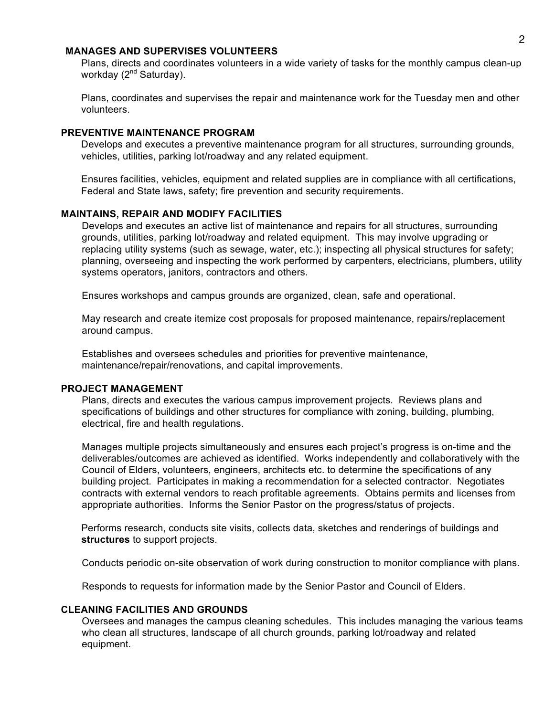#### **MANAGES AND SUPERVISES VOLUNTEERS**

Plans, directs and coordinates volunteers in a wide variety of tasks for the monthly campus clean-up workday (2<sup>nd</sup> Saturday).

Plans, coordinates and supervises the repair and maintenance work for the Tuesday men and other volunteers.

#### **PREVENTIVE MAINTENANCE PROGRAM**

Develops and executes a preventive maintenance program for all structures, surrounding grounds, vehicles, utilities, parking lot/roadway and any related equipment.

Ensures facilities, vehicles, equipment and related supplies are in compliance with all certifications, Federal and State laws, safety; fire prevention and security requirements.

### **MAINTAINS, REPAIR AND MODIFY FACILITIES**

Develops and executes an active list of maintenance and repairs for all structures, surrounding grounds, utilities, parking lot/roadway and related equipment. This may involve upgrading or replacing utility systems (such as sewage, water, etc.); inspecting all physical structures for safety; planning, overseeing and inspecting the work performed by carpenters, electricians, plumbers, utility systems operators, janitors, contractors and others.

Ensures workshops and campus grounds are organized, clean, safe and operational.

May research and create itemize cost proposals for proposed maintenance, repairs/replacement around campus.

Establishes and oversees schedules and priorities for preventive maintenance, maintenance/repair/renovations, and capital improvements.

#### **PROJECT MANAGEMENT**

Plans, directs and executes the various campus improvement projects. Reviews plans and specifications of buildings and other structures for compliance with zoning, building, plumbing, electrical, fire and health regulations.

Manages multiple projects simultaneously and ensures each project's progress is on-time and the deliverables/outcomes are achieved as identified. Works independently and collaboratively with the Council of Elders, volunteers, engineers, architects etc. to determine the specifications of any building project. Participates in making a recommendation for a selected contractor. Negotiates contracts with external vendors to reach profitable agreements. Obtains permits and licenses from appropriate authorities. Informs the Senior Pastor on the progress/status of projects.

Performs research, conducts site visits, collects data, sketches and renderings of buildings and **structures** to support projects.

Conducts periodic on-site observation of work during construction to monitor compliance with plans.

Responds to requests for information made by the Senior Pastor and Council of Elders.

### **CLEANING FACILITIES AND GROUNDS**

Oversees and manages the campus cleaning schedules. This includes managing the various teams who clean all structures, landscape of all church grounds, parking lot/roadway and related equipment.